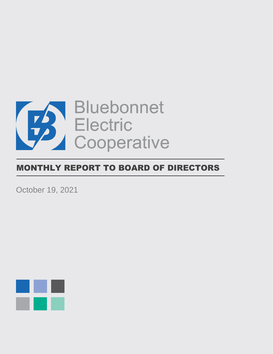

# MONTHLY REPORT TO BOARD OF DIRECTORS

October 19, 2021

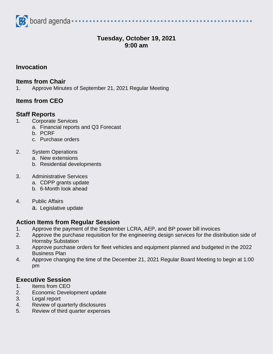

# **Tuesday, October 19, 2021 9:00 am**

#### **Invocation**

#### **Items from Chair**

1. Approve Minutes of September 21, 2021 Regular Meeting

## **Items from CEO**

#### **Staff Reports**

- 1. Corporate Services
	- a. Financial reports and Q3 Forecast
	- b. PCRF
	- c. Purchase orders
- 2. System Operations
	- a. New extensions
	- b. Residential developments

#### 3. Administrative Services

- a. CDPP grants update
- b. 6-Month look ahead
- 4. Public Affairs
	- a. Legislative update

## **Action Items from Regular Session**

- 1. Approve the payment of the September LCRA, AEP, and BP power bill invoices
- 2. Approve the purchase requisition for the engineering design services for the distribution side of Hornsby Substation
- 3. Approve purchase orders for fleet vehicles and equipment planned and budgeted in the 2022 Business Plan
- 4. Approve changing the time of the December 21, 2021 Regular Board Meeting to begin at 1:00 pm

## **Executive Session**

- 1. Items from CEO
- 2. Economic Development update
- 3. Legal report
- 4. Review of quarterly disclosures
- 5. Review of third quarter expenses